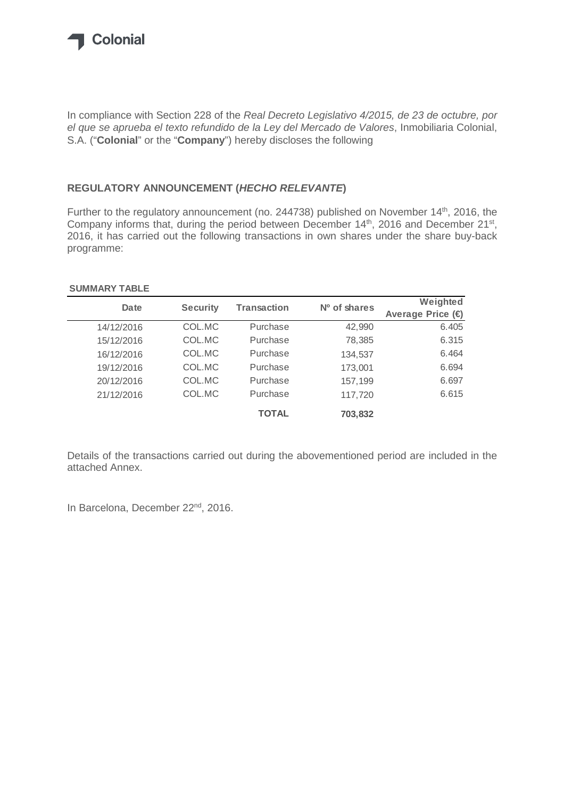

In compliance with Section 228 of the Real Decreto Legislativo 4/2015, de 23 de octubre, por el que se aprueba el texto refundido de la Ley del Mercado de Valores, Inmobiliaria Colonial, S.A. ("**Colonial**" or the "**Company**") hereby discloses the following

## **REGULATORY ANNOUNCEMENT (HECHO RELEVANTE)**

Further to the regulatory announcement (no. 244738) published on November 14<sup>th</sup>, 2016, the Company informs that, during the period between December 14<sup>th</sup>, 2016 and December 21<sup>st</sup>, 2016, it has carried out the following transactions in own shares under the share buy-back programme:

## **SUMMARY TABLE**

| Date       | <b>Security</b> | <b>Transaction</b> | Nº of shares | Weighted          |
|------------|-----------------|--------------------|--------------|-------------------|
|            |                 |                    |              | Average Price (€) |
| 14/12/2016 | COL.MC          | Purchase           | 42,990       | 6.405             |
| 15/12/2016 | COL.MC          | Purchase           | 78,385       | 6.315             |
| 16/12/2016 | COL.MC          | Purchase           | 134,537      | 6.464             |
| 19/12/2016 | COL.MC          | Purchase           | 173,001      | 6.694             |
| 20/12/2016 | COL.MC          | Purchase           | 157,199      | 6.697             |
| 21/12/2016 | COL.MC          | Purchase           | 117,720      | 6.615             |
|            |                 | <b>TOTAL</b>       | 703,832      |                   |

Details of the transactions carried out during the abovementioned period are included in the attached Annex.

In Barcelona, December 22<sup>nd</sup>, 2016.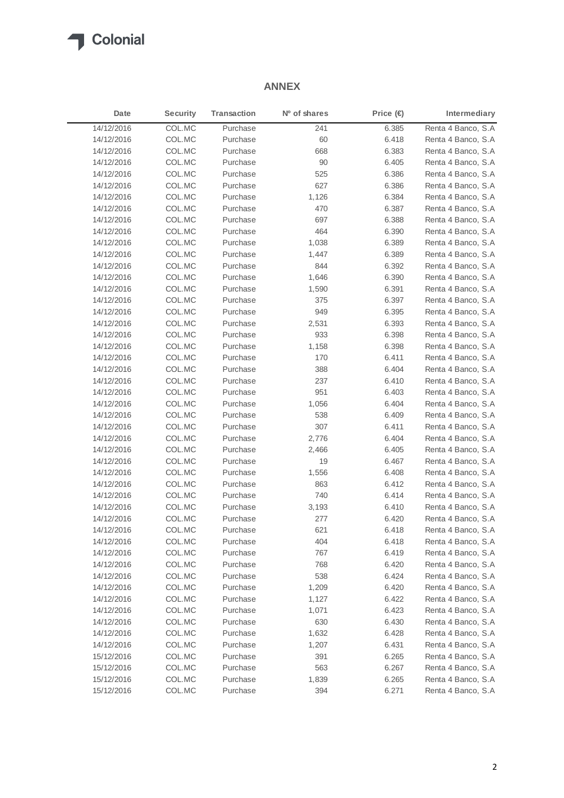

## **ANNEX**

| Date       | <b>Security</b> | <b>Transaction</b> | Nº of shares | Price $(\epsilon)$ | Intermediary        |
|------------|-----------------|--------------------|--------------|--------------------|---------------------|
| 14/12/2016 | COL.MC          | Purchase           | 241          | 6.385              | Renta 4 Banco, S.A  |
| 14/12/2016 | COL.MC          | Purchase           | 60           | 6.418              | Renta 4 Banco, S.A. |
| 14/12/2016 | COL.MC          | Purchase           | 668          | 6.383              | Renta 4 Banco, S.A. |
| 14/12/2016 | COL.MC          | Purchase           | 90           | 6.405              | Renta 4 Banco, S.A  |
| 14/12/2016 | COL.MC          | Purchase           | 525          | 6.386              | Renta 4 Banco, S.A  |
| 14/12/2016 | COL.MC          | Purchase           | 627          | 6.386              | Renta 4 Banco, S.A  |
| 14/12/2016 | COL.MC          | Purchase           | 1,126        | 6.384              | Renta 4 Banco, S.A  |
| 14/12/2016 | COL.MC          | Purchase           | 470          | 6.387              | Renta 4 Banco, S.A. |
| 14/12/2016 | COL.MC          | Purchase           | 697          | 6.388              | Renta 4 Banco, S.A  |
| 14/12/2016 | COL.MC          | Purchase           | 464          | 6.390              | Renta 4 Banco, S.A  |
| 14/12/2016 | COL.MC          | Purchase           | 1,038        | 6.389              | Renta 4 Banco, S.A  |
| 14/12/2016 | COL.MC          | Purchase           | 1,447        | 6.389              | Renta 4 Banco, S.A  |
| 14/12/2016 | COL.MC          | Purchase           | 844          | 6.392              | Renta 4 Banco, S.A  |
| 14/12/2016 | COL.MC          | Purchase           | 1,646        | 6.390              | Renta 4 Banco, S.A  |
| 14/12/2016 | COL.MC          | Purchase           | 1,590        | 6.391              | Renta 4 Banco, S.A  |
| 14/12/2016 | COL.MC          | Purchase           | 375          | 6.397              | Renta 4 Banco, S.A  |
| 14/12/2016 | COL.MC          | Purchase           | 949          | 6.395              | Renta 4 Banco, S.A  |
| 14/12/2016 | COL.MC          | Purchase           | 2,531        | 6.393              | Renta 4 Banco, S.A  |
| 14/12/2016 | COL.MC          | Purchase           | 933          | 6.398              | Renta 4 Banco, S.A  |
| 14/12/2016 | COL.MC          | Purchase           | 1,158        | 6.398              | Renta 4 Banco, S.A  |
| 14/12/2016 | COL.MC          | Purchase           | 170          | 6.411              | Renta 4 Banco, S.A  |
| 14/12/2016 | COL.MC          | Purchase           | 388          | 6.404              | Renta 4 Banco, S.A  |
| 14/12/2016 | COL.MC          | Purchase           | 237          | 6.410              | Renta 4 Banco, S.A  |
| 14/12/2016 | COL.MC          | Purchase           | 951          | 6.403              | Renta 4 Banco, S.A  |
| 14/12/2016 | COL.MC          | Purchase           | 1,056        | 6.404              | Renta 4 Banco, S.A  |
| 14/12/2016 | COL.MC          | Purchase           | 538          | 6.409              | Renta 4 Banco, S.A  |
| 14/12/2016 | COL.MC          | Purchase           | 307          | 6.411              | Renta 4 Banco, S.A  |
| 14/12/2016 | COL.MC          | Purchase           | 2,776        | 6.404              | Renta 4 Banco, S.A  |
| 14/12/2016 | COL.MC          | Purchase           | 2,466        | 6.405              | Renta 4 Banco, S.A  |
| 14/12/2016 | COL.MC          | Purchase           | 19           | 6.467              | Renta 4 Banco, S.A  |
| 14/12/2016 | COL.MC          | Purchase           | 1,556        | 6.408              | Renta 4 Banco, S.A  |
| 14/12/2016 | COL.MC          | Purchase           | 863          | 6.412              | Renta 4 Banco, S.A  |
| 14/12/2016 | COL.MC          | Purchase           | 740          | 6.414              | Renta 4 Banco, S.A  |
| 14/12/2016 | COL.MC          | Purchase           | 3,193        | 6.410              | Renta 4 Banco, S.A  |
| 14/12/2016 | COL.MC          | Purchase           | 277          | 6.420              | Renta 4 Banco, S.A  |
| 14/12/2016 | COL.MC          | Purchase           | 621          | 6.418              | Renta 4 Banco, S.A  |
| 14/12/2016 | COL.MC          | Purchase           | 404          | 6.418              | Renta 4 Banco, S.A  |
| 14/12/2016 | COL.MC          | Purchase           | 767          | 6.419              | Renta 4 Banco, S.A  |
| 14/12/2016 | COL.MC          | Purchase           | 768          | 6.420              | Renta 4 Banco, S.A  |
| 14/12/2016 | COL.MC          | Purchase           | 538          | 6.424              | Renta 4 Banco, S.A  |
| 14/12/2016 | COL.MC          | Purchase           | 1,209        | 6.420              | Renta 4 Banco, S.A  |
| 14/12/2016 | COL.MC          | Purchase           | 1,127        | 6.422              | Renta 4 Banco, S.A  |
| 14/12/2016 | COL.MC          | Purchase           | 1,071        | 6.423              | Renta 4 Banco, S.A  |
| 14/12/2016 | COL.MC          | Purchase           | 630          | 6.430              | Renta 4 Banco, S.A  |
| 14/12/2016 | COL.MC          | Purchase           | 1,632        | 6.428              | Renta 4 Banco, S.A  |
| 14/12/2016 | COL.MC          | Purchase           | 1,207        | 6.431              | Renta 4 Banco, S.A  |
| 15/12/2016 | COL.MC          | Purchase           | 391          | 6.265              | Renta 4 Banco, S.A  |
| 15/12/2016 | COL.MC          | Purchase           | 563          | 6.267              | Renta 4 Banco, S.A  |
| 15/12/2016 | COL.MC          | Purchase           | 1,839        | 6.265              | Renta 4 Banco, S.A  |
| 15/12/2016 | COL.MC          | Purchase           | 394          | 6.271              | Renta 4 Banco, S.A  |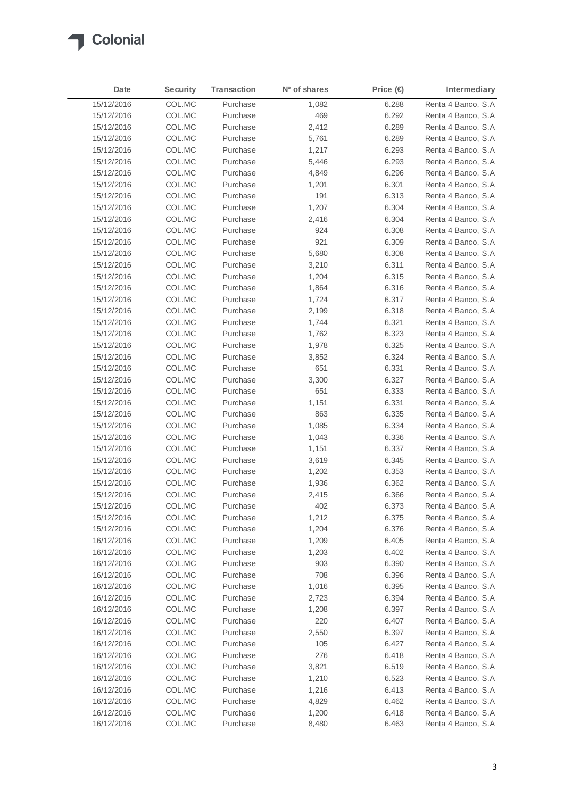

| Date       | <b>Security</b> | <b>Transaction</b> | N <sup>o</sup> of shares | Price $(\epsilon)$ | Intermediary        |
|------------|-----------------|--------------------|--------------------------|--------------------|---------------------|
| 15/12/2016 | COL.MC          | Purchase           | 1,082                    | 6.288              | Renta 4 Banco, S.A  |
| 15/12/2016 | COL.MC          | Purchase           | 469                      | 6.292              | Renta 4 Banco, S.A  |
| 15/12/2016 | COL.MC          | Purchase           | 2,412                    | 6.289              | Renta 4 Banco, S.A  |
| 15/12/2016 | COL.MC          | Purchase           | 5,761                    | 6.289              | Renta 4 Banco, S.A  |
| 15/12/2016 | COL.MC          | Purchase           | 1,217                    | 6.293              | Renta 4 Banco, S.A. |
| 15/12/2016 | COL.MC          | Purchase           | 5,446                    | 6.293              | Renta 4 Banco, S.A  |
| 15/12/2016 | COL.MC          | Purchase           | 4,849                    | 6.296              | Renta 4 Banco, S.A  |
| 15/12/2016 | COL.MC          | Purchase           | 1,201                    | 6.301              | Renta 4 Banco, S.A  |
| 15/12/2016 | COL.MC          | Purchase           | 191                      | 6.313              | Renta 4 Banco, S.A  |
| 15/12/2016 | COL.MC          | Purchase           | 1,207                    | 6.304              | Renta 4 Banco, S.A  |
| 15/12/2016 | COL.MC          | Purchase           | 2,416                    | 6.304              | Renta 4 Banco, S.A  |
| 15/12/2016 | COL.MC          | Purchase           | 924                      | 6.308              | Renta 4 Banco, S.A  |
| 15/12/2016 | COL.MC          | Purchase           | 921                      | 6.309              | Renta 4 Banco, S.A  |
| 15/12/2016 | COL.MC          | Purchase           | 5,680                    | 6.308              | Renta 4 Banco, S.A  |
| 15/12/2016 | COL.MC          | Purchase           | 3,210                    | 6.311              | Renta 4 Banco, S.A  |
| 15/12/2016 | COL.MC          | Purchase           | 1,204                    | 6.315              | Renta 4 Banco, S.A  |
| 15/12/2016 | COL.MC          | Purchase           | 1,864                    | 6.316              | Renta 4 Banco, S.A  |
| 15/12/2016 | COL.MC          | Purchase           | 1,724                    | 6.317              | Renta 4 Banco, S.A  |
| 15/12/2016 | COL.MC          | Purchase           | 2,199                    | 6.318              | Renta 4 Banco, S.A  |
| 15/12/2016 | COL.MC          | Purchase           | 1,744                    | 6.321              | Renta 4 Banco, S.A  |
| 15/12/2016 | COL.MC          | Purchase           | 1,762                    | 6.323              | Renta 4 Banco, S.A  |
| 15/12/2016 | COL.MC          | Purchase           | 1,978                    | 6.325              | Renta 4 Banco, S.A  |
| 15/12/2016 | COL.MC          | Purchase           | 3,852                    | 6.324              | Renta 4 Banco, S.A  |
| 15/12/2016 | COL.MC          | Purchase           | 651                      | 6.331              | Renta 4 Banco, S.A  |
| 15/12/2016 | COL.MC          | Purchase           | 3,300                    | 6.327              | Renta 4 Banco, S.A  |
| 15/12/2016 | COL.MC          | Purchase           | 651                      | 6.333              | Renta 4 Banco, S.A  |
| 15/12/2016 | COL.MC          | Purchase           | 1,151                    | 6.331              | Renta 4 Banco, S.A  |
| 15/12/2016 | COL.MC          | Purchase           | 863                      | 6.335              | Renta 4 Banco, S.A  |
| 15/12/2016 | COL.MC          | Purchase           | 1,085                    | 6.334              | Renta 4 Banco, S.A  |
| 15/12/2016 | COL.MC          | Purchase           | 1,043                    | 6.336              | Renta 4 Banco, S.A  |
| 15/12/2016 | COL.MC          | Purchase           | 1,151                    | 6.337              | Renta 4 Banco, S.A  |
| 15/12/2016 | COL.MC          | Purchase           | 3,619                    | 6.345              | Renta 4 Banco, S.A  |
| 15/12/2016 | COL.MC          | Purchase           | 1,202                    | 6.353              | Renta 4 Banco, S.A  |
| 15/12/2016 | COL.MC          | Purchase           | 1,936                    | 6.362              | Renta 4 Banco, S.A  |
| 15/12/2016 | COL.MC          | Purchase           | 2,415                    | 6.366              | Renta 4 Banco, S.A  |
| 15/12/2016 | COL.MC          | Purchase           | 402                      | 6.373              | Renta 4 Banco, S.A  |
| 15/12/2016 | COL.MC          | Purchase           | 1,212                    | 6.375              | Renta 4 Banco, S.A  |
| 15/12/2016 | COL.MC          | Purchase           | 1,204                    | 6.376              | Renta 4 Banco, S.A  |
| 16/12/2016 | COL.MC          | Purchase           | 1,209                    | 6.405              | Renta 4 Banco, S.A  |
| 16/12/2016 | COL.MC          | Purchase           | 1,203                    | 6.402              | Renta 4 Banco, S.A  |
| 16/12/2016 | COL.MC          | Purchase           | 903                      | 6.390              | Renta 4 Banco, S.A  |
| 16/12/2016 | COL.MC          | Purchase           | 708                      | 6.396              | Renta 4 Banco, S.A  |
| 16/12/2016 | COL.MC          | Purchase           | 1,016                    | 6.395              | Renta 4 Banco, S.A  |
| 16/12/2016 | COL.MC          | Purchase           | 2,723                    | 6.394              | Renta 4 Banco, S.A  |
| 16/12/2016 | COL.MC          | Purchase           | 1,208                    | 6.397              | Renta 4 Banco, S.A  |
| 16/12/2016 | COL.MC          | Purchase           | 220                      | 6.407              | Renta 4 Banco, S.A  |
| 16/12/2016 | COL.MC          | Purchase           | 2,550                    | 6.397              | Renta 4 Banco, S.A  |
| 16/12/2016 | COL.MC          | Purchase           | 105                      | 6.427              | Renta 4 Banco, S.A  |
| 16/12/2016 | COL.MC          | Purchase           | 276                      | 6.418              | Renta 4 Banco, S.A  |
| 16/12/2016 | COL.MC          | Purchase           | 3,821                    | 6.519              | Renta 4 Banco, S.A  |
| 16/12/2016 | COL.MC          | Purchase           | 1,210                    | 6.523              | Renta 4 Banco, S.A  |
| 16/12/2016 | COL.MC          | Purchase           | 1,216                    | 6.413              | Renta 4 Banco, S.A  |
| 16/12/2016 | COL.MC          | Purchase           | 4,829                    | 6.462              | Renta 4 Banco, S.A  |
| 16/12/2016 | COL.MC          | Purchase           | 1,200                    | 6.418              | Renta 4 Banco, S.A  |
| 16/12/2016 | COL.MC          | Purchase           | 8,480                    | 6.463              | Renta 4 Banco, S.A  |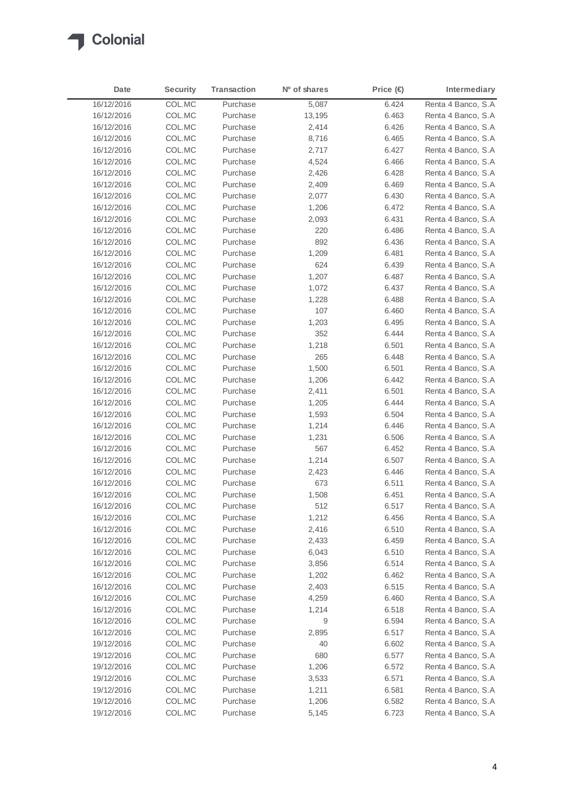

| Date       | <b>Security</b> | <b>Transaction</b> | N <sup>o</sup> of shares | Price $(\in)$ | Intermediary        |
|------------|-----------------|--------------------|--------------------------|---------------|---------------------|
| 16/12/2016 | COL.MC          | Purchase           | 5,087                    | 6.424         | Renta 4 Banco, S.A  |
| 16/12/2016 | COL.MC          | Purchase           | 13,195                   | 6.463         | Renta 4 Banco, S.A. |
| 16/12/2016 | COL.MC          | Purchase           | 2,414                    | 6.426         | Renta 4 Banco, S.A  |
| 16/12/2016 | COL.MC          | Purchase           | 8,716                    | 6.465         | Renta 4 Banco, S.A  |
| 16/12/2016 | COL.MC          | Purchase           | 2,717                    | 6.427         | Renta 4 Banco, S.A. |
| 16/12/2016 | COL.MC          | Purchase           | 4,524                    | 6.466         | Renta 4 Banco, S.A  |
| 16/12/2016 | COL.MC          | Purchase           | 2,426                    | 6.428         | Renta 4 Banco, S.A  |
| 16/12/2016 | COL.MC          | Purchase           | 2,409                    | 6.469         | Renta 4 Banco, S.A  |
| 16/12/2016 | COL.MC          | Purchase           | 2,077                    | 6.430         | Renta 4 Banco, S.A  |
| 16/12/2016 | COL.MC          | Purchase           | 1,206                    | 6.472         | Renta 4 Banco, S.A  |
| 16/12/2016 | COL.MC          | Purchase           | 2,093                    | 6.431         | Renta 4 Banco, S.A. |
| 16/12/2016 | COL.MC          | Purchase           | 220                      | 6.486         | Renta 4 Banco, S.A  |
| 16/12/2016 | COL.MC          | Purchase           | 892                      | 6.436         | Renta 4 Banco, S.A  |
| 16/12/2016 | COL.MC          | Purchase           | 1,209                    | 6.481         | Renta 4 Banco, S.A  |
| 16/12/2016 | COL.MC          | Purchase           | 624                      | 6.439         | Renta 4 Banco, S.A  |
| 16/12/2016 | COL.MC          | Purchase           | 1,207                    | 6.487         | Renta 4 Banco, S.A  |
| 16/12/2016 | COL.MC          | Purchase           | 1,072                    | 6.437         | Renta 4 Banco, S.A  |
| 16/12/2016 | COL.MC          | Purchase           | 1,228                    | 6.488         | Renta 4 Banco, S.A  |
| 16/12/2016 | COL.MC          | Purchase           | 107                      | 6.460         | Renta 4 Banco, S.A  |
| 16/12/2016 | COL.MC          | Purchase           | 1,203                    | 6.495         | Renta 4 Banco, S.A  |
| 16/12/2016 | COL.MC          | Purchase           | 352                      | 6.444         | Renta 4 Banco, S.A  |
| 16/12/2016 | COL.MC          | Purchase           | 1,218                    | 6.501         | Renta 4 Banco, S.A  |
| 16/12/2016 | COL.MC          | Purchase           | 265                      | 6.448         | Renta 4 Banco, S.A. |
| 16/12/2016 | COL.MC          | Purchase           | 1,500                    | 6.501         | Renta 4 Banco, S.A. |
| 16/12/2016 | COL.MC          | Purchase           | 1,206                    | 6.442         | Renta 4 Banco, S.A. |
| 16/12/2016 | COL.MC          | Purchase           | 2,411                    | 6.501         | Renta 4 Banco, S.A  |
| 16/12/2016 | COL.MC          | Purchase           | 1,205                    | 6.444         | Renta 4 Banco, S.A. |
| 16/12/2016 | COL.MC          | Purchase           | 1,593                    | 6.504         | Renta 4 Banco, S.A. |
| 16/12/2016 | COL.MC          | Purchase           | 1,214                    | 6.446         | Renta 4 Banco, S.A  |
| 16/12/2016 | COL.MC          | Purchase           | 1,231                    | 6.506         | Renta 4 Banco, S.A. |
| 16/12/2016 | COL.MC          | Purchase           | 567                      | 6.452         | Renta 4 Banco, S.A  |
| 16/12/2016 | COL.MC          | Purchase           | 1,214                    | 6.507         | Renta 4 Banco, S.A  |
| 16/12/2016 | COL.MC          | Purchase           | 2,423                    | 6.446         | Renta 4 Banco, S.A. |
| 16/12/2016 | COL.MC          | Purchase           | 673                      | 6.511         | Renta 4 Banco, S.A. |
| 16/12/2016 | COL.MC          | Purchase           | 1,508                    | 6.451         | Renta 4 Banco, S.A. |
| 16/12/2016 | COL.MC          | Purchase           | 512                      | 6.517         | Renta 4 Banco, S.A  |
| 16/12/2016 | COL.MC          | Purchase           | 1,212                    | 6.456         | Renta 4 Banco, S.A  |
| 16/12/2016 | COL.MC          | Purchase           | 2,416                    | 6.510         | Renta 4 Banco, S.A  |
| 16/12/2016 | COL.MC          | Purchase           | 2,433                    | 6.459         | Renta 4 Banco, S.A  |
| 16/12/2016 | COL.MC          | Purchase           | 6,043                    | 6.510         | Renta 4 Banco, S.A  |
| 16/12/2016 | COL.MC          | Purchase           | 3,856                    | 6.514         | Renta 4 Banco, S.A  |
| 16/12/2016 | COL.MC          | Purchase           | 1,202                    | 6.462         | Renta 4 Banco, S.A  |
| 16/12/2016 | COL.MC          | Purchase           | 2,403                    | 6.515         | Renta 4 Banco, S.A  |
| 16/12/2016 | COL.MC          | Purchase           | 4,259                    | 6.460         | Renta 4 Banco, S.A  |
| 16/12/2016 | COL.MC          | Purchase           | 1,214                    | 6.518         | Renta 4 Banco, S.A. |
| 16/12/2016 | COL.MC          | Purchase           | 9                        | 6.594         | Renta 4 Banco, S.A  |
| 16/12/2016 | COL.MC          | Purchase           | 2,895                    | 6.517         | Renta 4 Banco, S.A  |
| 19/12/2016 | COL.MC          | Purchase           | 40                       | 6.602         | Renta 4 Banco, S.A  |
| 19/12/2016 | COL.MC          | Purchase           | 680                      | 6.577         | Renta 4 Banco, S.A  |
| 19/12/2016 | COL.MC          | Purchase           | 1,206                    | 6.572         | Renta 4 Banco, S.A  |
| 19/12/2016 | COL.MC          | Purchase           | 3,533                    | 6.571         | Renta 4 Banco, S.A  |
| 19/12/2016 | COL.MC          | Purchase           | 1,211                    | 6.581         | Renta 4 Banco, S.A  |
| 19/12/2016 | COL.MC          | Purchase           | 1,206                    | 6.582         | Renta 4 Banco, S.A  |
| 19/12/2016 | COL.MC          | Purchase           | 5,145                    | 6.723         | Renta 4 Banco, S.A  |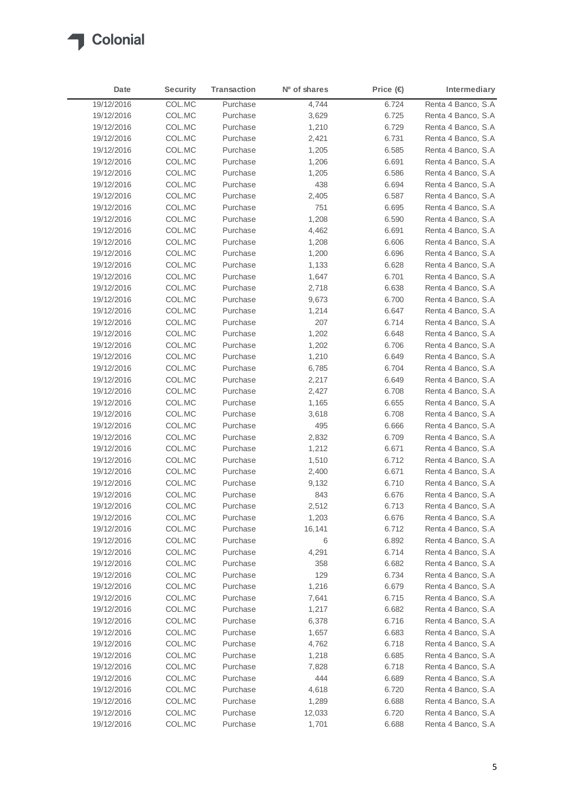

| Date       | <b>Security</b> | <b>Transaction</b> | N <sup>o</sup> of shares | Price $(\epsilon)$ | Intermediary        |
|------------|-----------------|--------------------|--------------------------|--------------------|---------------------|
| 19/12/2016 | COL.MC          | Purchase           | 4,744                    | 6.724              | Renta 4 Banco, S.A  |
| 19/12/2016 | COL.MC          | Purchase           | 3,629                    | 6.725              | Renta 4 Banco, S.A  |
| 19/12/2016 | COL.MC          | Purchase           | 1,210                    | 6.729              | Renta 4 Banco, S.A  |
| 19/12/2016 | COL.MC          | Purchase           | 2,421                    | 6.731              | Renta 4 Banco, S.A  |
| 19/12/2016 | COL.MC          | Purchase           | 1,205                    | 6.585              | Renta 4 Banco, S.A  |
| 19/12/2016 | COL.MC          | Purchase           | 1,206                    | 6.691              | Renta 4 Banco, S.A  |
| 19/12/2016 | COL.MC          | Purchase           | 1,205                    | 6.586              | Renta 4 Banco, S.A  |
| 19/12/2016 | COL.MC          | Purchase           | 438                      | 6.694              | Renta 4 Banco, S.A  |
| 19/12/2016 | COL.MC          | Purchase           | 2,405                    | 6.587              | Renta 4 Banco, S.A  |
| 19/12/2016 | COL.MC          | Purchase           | 751                      | 6.695              | Renta 4 Banco, S.A  |
| 19/12/2016 | COL.MC          | Purchase           | 1,208                    | 6.590              | Renta 4 Banco, S.A  |
| 19/12/2016 | COL.MC          | Purchase           | 4,462                    | 6.691              | Renta 4 Banco, S.A  |
| 19/12/2016 | COL.MC          | Purchase           | 1,208                    | 6.606              | Renta 4 Banco, S.A  |
| 19/12/2016 | COL.MC          | Purchase           | 1,200                    | 6.696              | Renta 4 Banco, S.A  |
| 19/12/2016 | COL.MC          | Purchase           | 1,133                    | 6.628              | Renta 4 Banco, S.A  |
| 19/12/2016 | COL.MC          | Purchase           | 1,647                    | 6.701              | Renta 4 Banco, S.A  |
| 19/12/2016 | COL.MC          | Purchase           | 2,718                    | 6.638              | Renta 4 Banco, S.A  |
| 19/12/2016 | COL.MC          | Purchase           | 9,673                    | 6.700              | Renta 4 Banco, S.A  |
| 19/12/2016 | COL.MC          | Purchase           | 1,214                    | 6.647              | Renta 4 Banco, S.A  |
| 19/12/2016 | COL.MC          | Purchase           | 207                      | 6.714              | Renta 4 Banco, S.A  |
| 19/12/2016 | COL.MC          | Purchase           | 1,202                    | 6.648              | Renta 4 Banco, S.A  |
| 19/12/2016 | COL.MC          | Purchase           | 1,202                    | 6.706              | Renta 4 Banco, S.A  |
| 19/12/2016 | COL.MC          | Purchase           | 1,210                    | 6.649              | Renta 4 Banco, S.A  |
| 19/12/2016 | COL.MC          | Purchase           | 6,785                    | 6.704              | Renta 4 Banco, S.A  |
| 19/12/2016 | COL.MC          | Purchase           | 2,217                    | 6.649              | Renta 4 Banco, S.A  |
| 19/12/2016 | COL.MC          | Purchase           | 2,427                    | 6.708              | Renta 4 Banco, S.A  |
| 19/12/2016 | COL.MC          | Purchase           | 1,165                    | 6.655              | Renta 4 Banco, S.A  |
| 19/12/2016 | COL.MC          | Purchase           | 3,618                    | 6.708              | Renta 4 Banco, S.A. |
| 19/12/2016 | COL.MC          | Purchase           | 495                      | 6.666              | Renta 4 Banco, S.A. |
| 19/12/2016 | COL.MC          | Purchase           | 2,832                    | 6.709              | Renta 4 Banco, S.A  |
| 19/12/2016 | COL.MC          | Purchase           | 1,212                    | 6.671              | Renta 4 Banco, S.A. |
| 19/12/2016 | COL.MC          | Purchase           | 1,510                    | 6.712              | Renta 4 Banco, S.A  |
| 19/12/2016 | COL.MC          | Purchase           | 2,400                    | 6.671              | Renta 4 Banco, S.A. |
| 19/12/2016 | COL.MC          | Purchase           | 9,132                    | 6.710              | Renta 4 Banco, S.A. |
| 19/12/2016 | COL.MC          | Purchase           | 843                      | 6.676              | Renta 4 Banco, S.A. |
| 19/12/2016 | COL.MC          | Purchase           | 2,512                    | 6.713              | Renta 4 Banco, S.A  |
| 19/12/2016 | COL.MC          | Purchase           | 1,203                    | 6.676              | Renta 4 Banco, S.A  |
| 19/12/2016 | COL.MC          | Purchase           | 16,141                   | 6.712              | Renta 4 Banco, S.A  |
| 19/12/2016 | COL.MC          | Purchase           | 6                        | 6.892              | Renta 4 Banco, S.A  |
| 19/12/2016 | COL.MC          | Purchase           | 4,291                    | 6.714              | Renta 4 Banco, S.A  |
| 19/12/2016 | COL.MC          | Purchase           | 358                      | 6.682              | Renta 4 Banco, S.A  |
| 19/12/2016 | COL.MC          | Purchase           | 129                      | 6.734              | Renta 4 Banco, S.A  |
| 19/12/2016 | COL.MC          | Purchase           | 1,216                    | 6.679              | Renta 4 Banco, S.A  |
| 19/12/2016 | COL.MC          | Purchase           | 7,641                    | 6.715              | Renta 4 Banco, S.A  |
| 19/12/2016 | COL.MC          | Purchase           | 1,217                    | 6.682              | Renta 4 Banco, S.A  |
| 19/12/2016 | COL.MC          | Purchase           | 6,378                    | 6.716              | Renta 4 Banco, S.A  |
| 19/12/2016 | COL.MC          | Purchase           | 1,657                    | 6.683              | Renta 4 Banco, S.A  |
| 19/12/2016 | COL.MC          | Purchase           | 4,762                    | 6.718              | Renta 4 Banco, S.A  |
| 19/12/2016 | COL.MC          | Purchase           | 1,218                    | 6.685              | Renta 4 Banco, S.A  |
| 19/12/2016 | COL.MC          | Purchase           | 7,828                    | 6.718              | Renta 4 Banco, S.A  |
| 19/12/2016 | COL.MC          | Purchase           | 444                      | 6.689              | Renta 4 Banco, S.A  |
| 19/12/2016 | COL.MC          | Purchase           | 4,618                    | 6.720              | Renta 4 Banco, S.A  |
| 19/12/2016 | COL.MC          | Purchase           | 1,289                    | 6.688              | Renta 4 Banco, S.A  |
| 19/12/2016 | COL.MC          | Purchase           | 12,033                   | 6.720              | Renta 4 Banco, S.A  |
| 19/12/2016 | COL.MC          | Purchase           | 1,701                    | 6.688              | Renta 4 Banco, S.A  |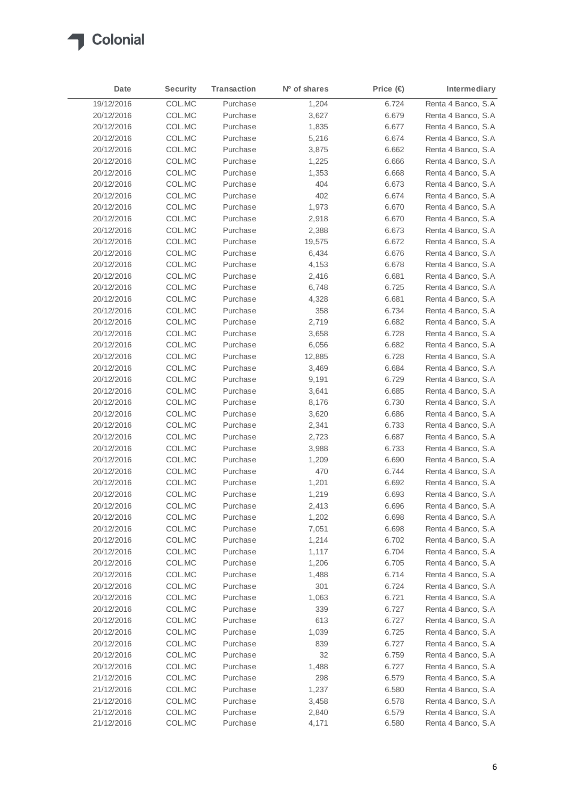

| Date       | <b>Security</b> | <b>Transaction</b> | Nº of shares | Price $(\in)$ | Intermediary        |
|------------|-----------------|--------------------|--------------|---------------|---------------------|
| 19/12/2016 | COL.MC          | Purchase           | 1,204        | 6.724         | Renta 4 Banco, S.A  |
| 20/12/2016 | COL.MC          | Purchase           | 3,627        | 6.679         | Renta 4 Banco, S.A. |
| 20/12/2016 | COL.MC          | Purchase           | 1,835        | 6.677         | Renta 4 Banco, S.A  |
| 20/12/2016 | COL.MC          | Purchase           | 5,216        | 6.674         | Renta 4 Banco, S.A  |
| 20/12/2016 | COL.MC          | Purchase           | 3,875        | 6.662         | Renta 4 Banco, S.A. |
| 20/12/2016 | COL.MC          | Purchase           | 1,225        | 6.666         | Renta 4 Banco, S.A  |
| 20/12/2016 | COL.MC          | Purchase           | 1,353        | 6.668         | Renta 4 Banco, S.A. |
| 20/12/2016 | COL.MC          | Purchase           | 404          | 6.673         | Renta 4 Banco, S.A  |
| 20/12/2016 | COL.MC          | Purchase           | 402          | 6.674         | Renta 4 Banco, S.A  |
| 20/12/2016 | COL.MC          | Purchase           | 1,973        | 6.670         | Renta 4 Banco, S.A  |
| 20/12/2016 | COL.MC          | Purchase           | 2,918        | 6.670         | Renta 4 Banco, S.A  |
| 20/12/2016 | COL.MC          | Purchase           | 2,388        | 6.673         | Renta 4 Banco, S.A  |
| 20/12/2016 | COL.MC          | Purchase           | 19,575       | 6.672         | Renta 4 Banco, S.A  |
| 20/12/2016 | COL.MC          | Purchase           | 6,434        | 6.676         | Renta 4 Banco, S.A  |
| 20/12/2016 | COL.MC          | Purchase           | 4,153        | 6.678         | Renta 4 Banco, S.A  |
| 20/12/2016 | COL.MC          | Purchase           | 2,416        | 6.681         | Renta 4 Banco, S.A  |
| 20/12/2016 | COL.MC          | Purchase           | 6,748        | 6.725         | Renta 4 Banco, S.A  |
| 20/12/2016 | COL.MC          | Purchase           | 4,328        | 6.681         | Renta 4 Banco, S.A  |
| 20/12/2016 | COL.MC          | Purchase           | 358          | 6.734         | Renta 4 Banco, S.A  |
| 20/12/2016 | COL.MC          | Purchase           | 2,719        | 6.682         | Renta 4 Banco, S.A  |
| 20/12/2016 | COL.MC          | Purchase           | 3,658        | 6.728         | Renta 4 Banco, S.A  |
| 20/12/2016 | COL.MC          | Purchase           | 6,056        | 6.682         | Renta 4 Banco, S.A  |
| 20/12/2016 | COL.MC          | Purchase           | 12,885       | 6.728         | Renta 4 Banco, S.A. |
| 20/12/2016 | COL.MC          | Purchase           | 3,469        | 6.684         | Renta 4 Banco, S.A  |
| 20/12/2016 | COL.MC          | Purchase           | 9,191        | 6.729         | Renta 4 Banco, S.A  |
| 20/12/2016 | COL.MC          | Purchase           | 3,641        | 6.685         | Renta 4 Banco, S.A  |
| 20/12/2016 | COL.MC          | Purchase           | 8,176        | 6.730         | Renta 4 Banco, S.A  |
| 20/12/2016 | COL.MC          | Purchase           | 3,620        | 6.686         | Renta 4 Banco, S.A. |
| 20/12/2016 | COL.MC          | Purchase           | 2,341        | 6.733         | Renta 4 Banco, S.A. |
| 20/12/2016 | COL.MC          | Purchase           | 2,723        | 6.687         | Renta 4 Banco, S.A  |
| 20/12/2016 | COL.MC          | Purchase           | 3,988        | 6.733         | Renta 4 Banco, S.A. |
| 20/12/2016 | COL.MC          | Purchase           | 1,209        | 6.690         | Renta 4 Banco, S.A  |
| 20/12/2016 | COL.MC          | Purchase           | 470          | 6.744         | Renta 4 Banco, S.A. |
| 20/12/2016 | COL.MC          | Purchase           | 1,201        | 6.692         | Renta 4 Banco, S.A  |
| 20/12/2016 | COL.MC          | Purchase           | 1,219        | 6.693         | Renta 4 Banco, S.A  |
| 20/12/2016 | COL.MC          | Purchase           | 2,413        | 6.696         | Renta 4 Banco, S.A  |
| 20/12/2016 | COL.MC          | Purchase           | 1,202        | 6.698         | Renta 4 Banco, S.A  |
| 20/12/2016 | COL.MC          | Purchase           | 7,051        | 6.698         | Renta 4 Banco, S.A  |
| 20/12/2016 | COL.MC          | Purchase           | 1,214        | 6.702         | Renta 4 Banco, S.A  |
| 20/12/2016 | COL.MC          | Purchase           | 1,117        | 6.704         | Renta 4 Banco, S.A  |
| 20/12/2016 | COL.MC          | Purchase           | 1,206        | 6.705         | Renta 4 Banco, S.A  |
| 20/12/2016 | COL.MC          | Purchase           | 1,488        | 6.714         | Renta 4 Banco, S.A  |
| 20/12/2016 | COL.MC          | Purchase           | 301          | 6.724         | Renta 4 Banco, S.A  |
| 20/12/2016 | COL.MC          | Purchase           | 1,063        | 6.721         | Renta 4 Banco, S.A  |
| 20/12/2016 | COL.MC          | Purchase           | 339          | 6.727         | Renta 4 Banco, S.A  |
| 20/12/2016 | COL.MC          | Purchase           | 613          | 6.727         | Renta 4 Banco, S.A  |
| 20/12/2016 | COL.MC          | Purchase           | 1,039        | 6.725         | Renta 4 Banco, S.A  |
| 20/12/2016 | COL.MC          | Purchase           | 839          | 6.727         | Renta 4 Banco, S.A  |
| 20/12/2016 | COL.MC          | Purchase           | 32           | 6.759         | Renta 4 Banco, S.A  |
| 20/12/2016 | COL.MC          | Purchase           | 1,488        | 6.727         | Renta 4 Banco, S.A  |
| 21/12/2016 | COL.MC          | Purchase           | 298          | 6.579         | Renta 4 Banco, S.A  |
| 21/12/2016 | COL.MC          | Purchase           | 1,237        | 6.580         | Renta 4 Banco, S.A  |
| 21/12/2016 | COL.MC          | Purchase           | 3,458        | 6.578         | Renta 4 Banco, S.A  |
| 21/12/2016 | COL.MC          | Purchase           | 2,840        | 6.579         | Renta 4 Banco, S.A  |
| 21/12/2016 | COL.MC          | Purchase           | 4,171        | 6.580         | Renta 4 Banco, S.A  |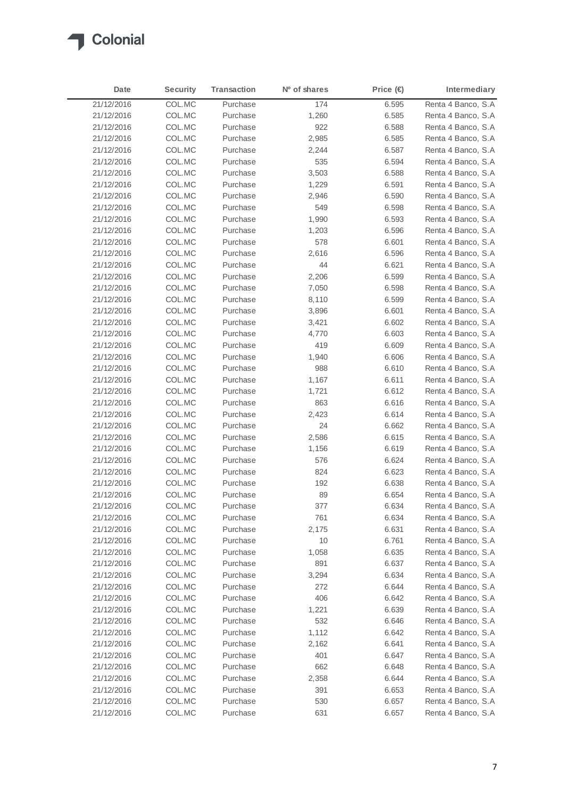

| Date       | <b>Security</b> | <b>Transaction</b> | Nº of shares | Price (€) | Intermediary        |
|------------|-----------------|--------------------|--------------|-----------|---------------------|
| 21/12/2016 | COL.MC          | Purchase           | 174          | 6.595     | Renta 4 Banco, S.A  |
| 21/12/2016 | COL.MC          | Purchase           | 1,260        | 6.585     | Renta 4 Banco, S.A. |
| 21/12/2016 | COL.MC          | Purchase           | 922          | 6.588     | Renta 4 Banco, S.A  |
| 21/12/2016 | COL.MC          | Purchase           | 2,985        | 6.585     | Renta 4 Banco, S.A  |
| 21/12/2016 | COL.MC          | Purchase           | 2,244        | 6.587     | Renta 4 Banco, S.A. |
| 21/12/2016 | COL.MC          | Purchase           | 535          | 6.594     | Renta 4 Banco, S.A  |
| 21/12/2016 | COL.MC          | Purchase           | 3,503        | 6.588     | Renta 4 Banco, S.A  |
| 21/12/2016 | COL.MC          | Purchase           | 1,229        | 6.591     | Renta 4 Banco, S.A. |
| 21/12/2016 | COL.MC          | Purchase           | 2,946        | 6.590     | Renta 4 Banco, S.A  |
| 21/12/2016 | COL.MC          | Purchase           | 549          | 6.598     | Renta 4 Banco, S.A  |
| 21/12/2016 | COL.MC          | Purchase           | 1,990        | 6.593     | Renta 4 Banco, S.A  |
| 21/12/2016 | COL.MC          | Purchase           | 1,203        | 6.596     | Renta 4 Banco, S.A  |
| 21/12/2016 | COL.MC          | Purchase           | 578          | 6.601     | Renta 4 Banco, S.A  |
| 21/12/2016 | COL.MC          | Purchase           | 2,616        | 6.596     | Renta 4 Banco, S.A  |
| 21/12/2016 | COL.MC          | Purchase           | 44           | 6.621     | Renta 4 Banco, S.A  |
| 21/12/2016 | COL.MC          | Purchase           | 2,206        | 6.599     | Renta 4 Banco, S.A  |
| 21/12/2016 | COL.MC          | Purchase           | 7,050        | 6.598     | Renta 4 Banco, S.A  |
| 21/12/2016 | COL.MC          | Purchase           | 8,110        | 6.599     | Renta 4 Banco, S.A  |
| 21/12/2016 | COL.MC          | Purchase           | 3,896        | 6.601     | Renta 4 Banco, S.A  |
| 21/12/2016 | COL.MC          | Purchase           | 3,421        | 6.602     | Renta 4 Banco, S.A  |
| 21/12/2016 | COL.MC          | Purchase           | 4,770        | 6.603     | Renta 4 Banco, S.A  |
| 21/12/2016 | COL.MC          | Purchase           | 419          | 6.609     | Renta 4 Banco, S.A  |
| 21/12/2016 | COL.MC          | Purchase           | 1,940        | 6.606     | Renta 4 Banco, S.A  |
| 21/12/2016 | COL.MC          | Purchase           | 988          | 6.610     | Renta 4 Banco, S.A  |
| 21/12/2016 | COL.MC          | Purchase           | 1,167        | 6.611     | Renta 4 Banco, S.A  |
| 21/12/2016 | COL.MC          | Purchase           | 1,721        | 6.612     | Renta 4 Banco, S.A  |
| 21/12/2016 | COL.MC          | Purchase           | 863          | 6.616     | Renta 4 Banco, S.A  |
| 21/12/2016 | COL.MC          | Purchase           | 2,423        | 6.614     | Renta 4 Banco, S.A  |
| 21/12/2016 | COL.MC          | Purchase           | 24           | 6.662     | Renta 4 Banco, S.A  |
| 21/12/2016 | COL.MC          | Purchase           | 2,586        | 6.615     | Renta 4 Banco, S.A  |
| 21/12/2016 | COL.MC          | Purchase           | 1,156        | 6.619     | Renta 4 Banco, S.A  |
| 21/12/2016 | COL.MC          | Purchase           | 576          | 6.624     | Renta 4 Banco, S.A  |
| 21/12/2016 | COL.MC          | Purchase           | 824          | 6.623     | Renta 4 Banco, S.A. |
| 21/12/2016 | COL.MC          | Purchase           | 192          | 6.638     | Renta 4 Banco, S.A  |
| 21/12/2016 | COL.MC          | Purchase           | 89           | 6.654     | Renta 4 Banco, S.A  |
| 21/12/2016 | COL.MC          | Purchase           | 377          | 6.634     | Renta 4 Banco, S.A  |
| 21/12/2016 | COL.MC          | Purchase           | 761          | 6.634     | Renta 4 Banco, S.A  |
| 21/12/2016 | COL.MC          | Purchase           | 2,175        | 6.631     | Renta 4 Banco, S.A  |
| 21/12/2016 | COL.MC          | Purchase           | 10           | 6.761     | Renta 4 Banco, S.A  |
| 21/12/2016 | COL.MC          | Purchase           | 1,058        | 6.635     | Renta 4 Banco, S.A  |
| 21/12/2016 | COL.MC          | Purchase           | 891          | 6.637     | Renta 4 Banco, S.A  |
| 21/12/2016 | COL.MC          | Purchase           | 3,294        | 6.634     | Renta 4 Banco, S.A  |
| 21/12/2016 | COL.MC          | Purchase           | 272          | 6.644     | Renta 4 Banco, S.A  |
| 21/12/2016 | COL.MC          | Purchase           | 406          | 6.642     | Renta 4 Banco, S.A  |
| 21/12/2016 | COL.MC          | Purchase           | 1,221        | 6.639     | Renta 4 Banco, S.A  |
| 21/12/2016 | COL.MC          | Purchase           | 532          | 6.646     | Renta 4 Banco, S.A  |
| 21/12/2016 | COL.MC          | Purchase           | 1,112        | 6.642     | Renta 4 Banco, S.A  |
| 21/12/2016 | COL.MC          | Purchase           | 2,162        | 6.641     | Renta 4 Banco, S.A  |
| 21/12/2016 | COL.MC          | Purchase           | 401          | 6.647     | Renta 4 Banco, S.A  |
| 21/12/2016 | COL.MC          | Purchase           | 662          | 6.648     | Renta 4 Banco, S.A  |
| 21/12/2016 | COL.MC          | Purchase           | 2,358        | 6.644     | Renta 4 Banco, S.A  |
| 21/12/2016 | COL.MC          | Purchase           | 391          | 6.653     | Renta 4 Banco, S.A  |
| 21/12/2016 | COL.MC          | Purchase           | 530          | 6.657     | Renta 4 Banco, S.A  |
| 21/12/2016 | COL.MC          | Purchase           | 631          | 6.657     | Renta 4 Banco, S.A  |